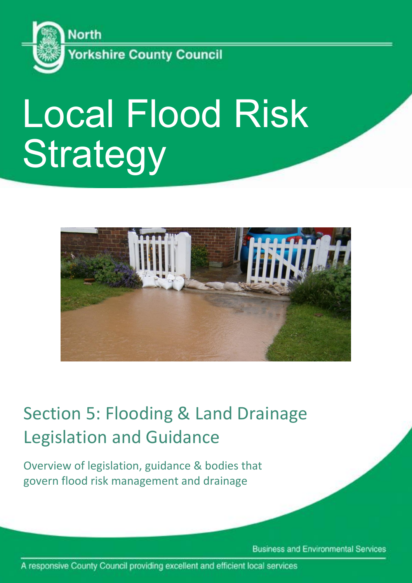

# Local Flood Risk **Strategy**



# Section 5: Flooding & Land Drainage Legislation and Guidance

Overview of legislation, guidance & bodies that govern flood risk management and drainage

**Business and Environmental Services** 

A responsive County Council providing excellent and efficient local services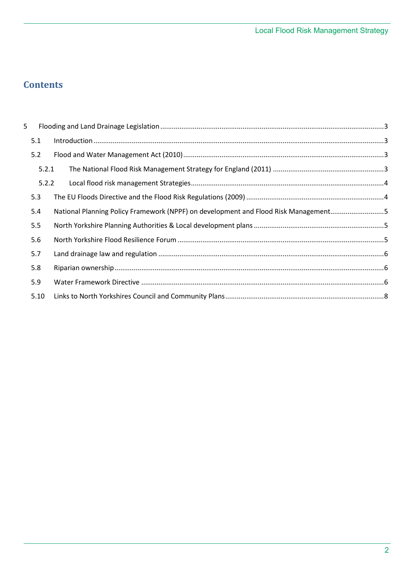# **Contents**

| 5 |       |                                                                                     |  |
|---|-------|-------------------------------------------------------------------------------------|--|
|   | 5.1   |                                                                                     |  |
|   | 5.2   |                                                                                     |  |
|   | 5.2.1 |                                                                                     |  |
|   | 5.2.2 |                                                                                     |  |
|   | 5.3   |                                                                                     |  |
|   | 5.4   | National Planning Policy Framework (NPPF) on development and Flood Risk Management5 |  |
|   | 5.5   |                                                                                     |  |
|   | 5.6   |                                                                                     |  |
|   | 5.7   |                                                                                     |  |
|   | 5.8   |                                                                                     |  |
|   | 5.9   |                                                                                     |  |
|   | 5.10  |                                                                                     |  |
|   |       |                                                                                     |  |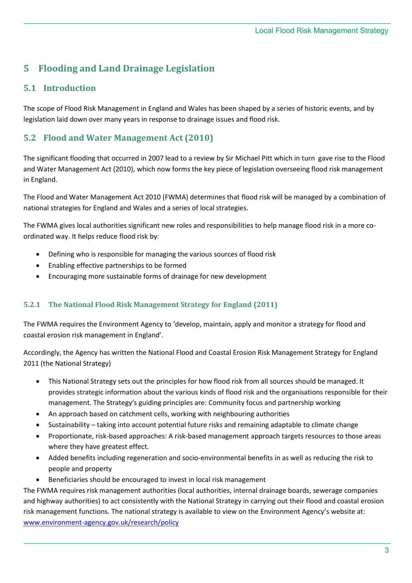# <span id="page-2-0"></span>**5 Flooding and Land Drainage Legislation**

### <span id="page-2-1"></span>**5.1 Introduction**

The scope of Flood Risk Management in England and Wales has been shaped by a series of historic events, and by legislation laid down over many years in response to drainage issues and flood risk.

#### <span id="page-2-2"></span>**5.2 Flood and Water Management Act (2010)**

The significant flooding that occurred in 2007 lead to a review by Sir Michael Pitt which in turn gave rise to the Flood and Water Management Act (2010), which now forms the key piece of legislation overseeing flood risk management in England.

The Flood and Water Management Act 2010 (FWMA) determines that flood risk will be managed by a combination of national strategies for England and Wales and a series of local strategies.

The FWMA gives local authorities significant new roles and responsibilities to help manage flood risk in a more coordinated way. It helps reduce flood risk by:

- Defining who is responsible for managing the various sources of flood risk
- Enabling effective partnerships to be formed
- Encouraging more sustainable forms of drainage for new development

#### <span id="page-2-3"></span>**5.2.1 The National Flood Risk Management Strategy for England (2011)**

The FWMA requires the Environment Agency to 'develop, maintain, apply and monitor a strategy for flood and coastal erosion risk management in England'.

Accordingly, the Agency has written the National Flood and Coastal Erosion Risk Management Strategy for England 2011 (the National Strategy)

- This National Strategy sets out the principles for how flood risk from all sources should be managed. It provides strategic information about the various kinds of flood risk and the organisations responsible for their management. The Strategy's guiding principles are: Community focus and partnership working
- An approach based on catchment cells, working with neighbouring authorities
- Sustainability taking into account potential future risks and remaining adaptable to climate change
- Proportionate, risk-based approaches: A risk-based management approach targets resources to those areas where they have greatest effect.
- Added benefits including regeneration and socio-environmental benefits in as well as reducing the risk to people and property
- Beneficiaries should be encouraged to invest in local risk management

The FWMA requires risk management authorities (local authorities, internal drainage boards, sewerage companies and highway authorities) to act consistently with the National Strategy in carrying out their flood and coastal erosion risk management functions. The national strategy is available to view on the Environment Agency's website at: [www.environment-agency.gov.uk/research/policy](http://www.environment-agency.gov.uk/research/policy)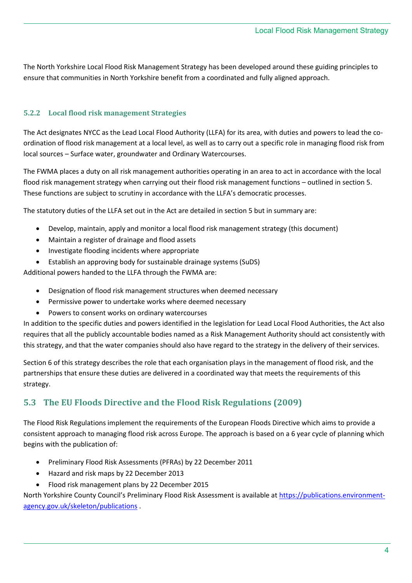The North Yorkshire Local Flood Risk Management Strategy has been developed around these guiding principles to ensure that communities in North Yorkshire benefit from a coordinated and fully aligned approach.

#### <span id="page-3-0"></span>**5.2.2 Local flood risk management Strategies**

The Act designates NYCC as the Lead Local Flood Authority (LLFA) for its area, with duties and powers to lead the coordination of flood risk management at a local level, as well as to carry out a specific role in managing flood risk from local sources – Surface water, groundwater and Ordinary Watercourses.

The FWMA places a duty on all risk management authorities operating in an area to act in accordance with the local flood risk management strategy when carrying out their flood risk management functions – outlined in section 5. These functions are subject to scrutiny in accordance with the LLFA's democratic processes.

The statutory duties of the LLFA set out in the Act are detailed in section 5 but in summary are:

- Develop, maintain, apply and monitor a local flood risk management strategy (this document)
- Maintain a register of drainage and flood assets
- Investigate flooding incidents where appropriate
- Establish an approving body for sustainable drainage systems (SuDS)

Additional powers handed to the LLFA through the FWMA are:

- Designation of flood risk management structures when deemed necessary
- Permissive power to undertake works where deemed necessary
- Powers to consent works on ordinary watercourses

In addition to the specific duties and powers identified in the legislation for Lead Local Flood Authorities, the Act also requires that all the publicly accountable bodies named as a Risk Management Authority should act consistently with this strategy, and that the water companies should also have regard to the strategy in the delivery of their services.

Section 6 of this strategy describes the role that each organisation plays in the management of flood risk, and the partnerships that ensure these duties are delivered in a coordinated way that meets the requirements of this strategy.

### <span id="page-3-1"></span>**5.3 The EU Floods Directive and the Flood Risk Regulations (2009)**

The Flood Risk Regulations implement the requirements of the European Floods Directive which aims to provide a consistent approach to managing flood risk across Europe. The approach is based on a 6 year cycle of planning which begins with the publication of:

- Preliminary Flood Risk Assessments (PFRAs) by 22 December 2011
- Hazard and risk maps by 22 December 2013
- Flood risk management plans by 22 December 2015

North Yorkshire County Council's Preliminary Flood Risk Assessment is available a[t https://publications.environment](https://publications.environment-agency.gov.uk/skeleton/publications)[agency.gov.uk/skeleton/publications](https://publications.environment-agency.gov.uk/skeleton/publications) .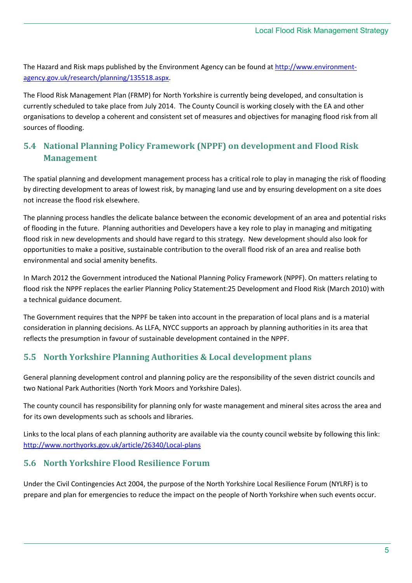The Hazard and Risk maps published by the Environment Agency can be found a[t http://www.environment](http://www.environment-agency.gov.uk/research/planning/135518.aspx)[agency.gov.uk/research/planning/135518.aspx.](http://www.environment-agency.gov.uk/research/planning/135518.aspx)

The Flood Risk Management Plan (FRMP) for North Yorkshire is currently being developed, and consultation is currently scheduled to take place from July 2014. The County Council is working closely with the EA and other organisations to develop a coherent and consistent set of measures and objectives for managing flood risk from all sources of flooding.

## <span id="page-4-0"></span>**5.4 National Planning Policy Framework (NPPF) on development and Flood Risk Management**

The spatial planning and development management process has a critical role to play in managing the risk of flooding by directing development to areas of lowest risk, by managing land use and by ensuring development on a site does not increase the flood risk elsewhere.

The planning process handles the delicate balance between the economic development of an area and potential risks of flooding in the future. Planning authorities and Developers have a key role to play in managing and mitigating flood risk in new developments and should have regard to this strategy. New development should also look for opportunities to make a positive, sustainable contribution to the overall flood risk of an area and realise both environmental and social amenity benefits.

In March 2012 the Government introduced the National Planning Policy Framework (NPPF). On matters relating to flood risk the NPPF replaces the earlier Planning Policy Statement:25 Development and Flood Risk (March 2010) with a technical guidance document.

The Government requires that the NPPF be taken into account in the preparation of local plans and is a material consideration in planning decisions. As LLFA, NYCC supports an approach by planning authorities in its area that reflects the presumption in favour of sustainable development contained in the NPPF.

### <span id="page-4-1"></span>**5.5 North Yorkshire Planning Authorities & Local development plans**

General planning development control and planning policy are the responsibility of the seven district councils and two National Park Authorities (North York Moors and Yorkshire Dales).

The county council has responsibility for planning only for waste management and mineral sites across the area and for its own developments such as schools and libraries.

Links to the local plans of each planning authority are available via the county council website by following this link: <http://www.northyorks.gov.uk/article/26340/Local-plans>

#### <span id="page-4-2"></span>**5.6 North Yorkshire Flood Resilience Forum**

Under the Civil Contingencies Act 2004, the purpose of the North Yorkshire Local Resilience Forum (NYLRF) is to prepare and plan for emergencies to reduce the impact on the people of North Yorkshire when such events occur.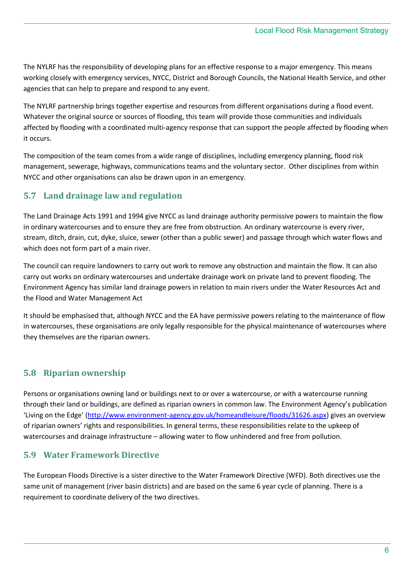The NYLRF has the responsibility of developing plans for an effective response to a major emergency. This means working closely with emergency services, NYCC, District and Borough Councils, the National Health Service, and other agencies that can help to prepare and respond to any event.

The NYLRF partnership brings together expertise and resources from different organisations during a flood event. Whatever the original source or sources of flooding, this team will provide those communities and individuals affected by flooding with a coordinated multi-agency response that can support the people affected by flooding when it occurs.

The composition of the team comes from a wide range of disciplines, including emergency planning, flood risk management, sewerage, highways, communications teams and the voluntary sector. Other disciplines from within NYCC and other organisations can also be drawn upon in an emergency.

### <span id="page-5-0"></span>**5.7 Land drainage law and regulation**

The Land Drainage Acts 1991 and 1994 give NYCC as land drainage authority permissive powers to maintain the flow in ordinary watercourses and to ensure they are free from obstruction. An ordinary watercourse is every river, stream, ditch, drain, cut, dyke, sluice, sewer (other than a public sewer) and passage through which water flows and which does not form part of a main river.

The council can require landowners to carry out work to remove any obstruction and maintain the flow. It can also carry out works on ordinary watercourses and undertake drainage work on private land to prevent flooding. The Environment Agency has similar land drainage powers in relation to main rivers under the Water Resources Act and the Flood and Water Management Act

It should be emphasised that, although NYCC and the EA have permissive powers relating to the maintenance of flow in watercourses, these organisations are only legally responsible for the physical maintenance of watercourses where they themselves are the riparian owners.

### <span id="page-5-1"></span>**5.8 Riparian ownership**

Persons or organisations owning land or buildings next to or over a watercourse, or with a watercourse running through their land or buildings, are defined as riparian owners in common law. The Environment Agency's publication 'Living on the Edge' ([http://www.environment-agency.gov.uk/homeandleisure/floods/31626.aspx\)](http://www.environment-agency.gov.uk/homeandleisure/floods/31626.aspx) gives an overview of riparian owners' rights and responsibilities. In general terms, these responsibilities relate to the upkeep of watercourses and drainage infrastructure – allowing water to flow unhindered and free from pollution.

#### <span id="page-5-2"></span>**5.9 Water Framework Directive**

The European Floods Directive is a sister directive to the Water Framework Directive (WFD). Both directives use the same unit of management (river basin districts) and are based on the same 6 year cycle of planning. There is a requirement to coordinate delivery of the two directives.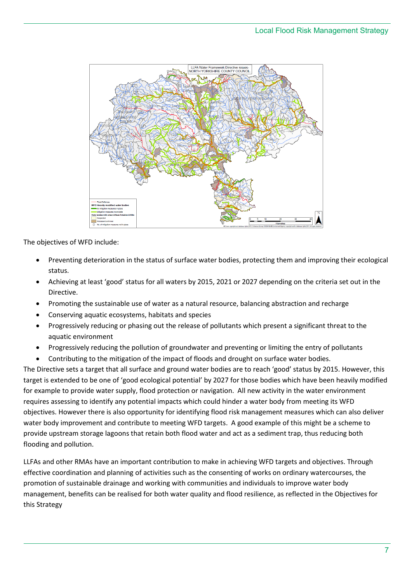

The objectives of WFD include:

- Preventing deterioration in the status of surface water bodies, protecting them and improving their ecological status.
- Achieving at least 'good' status for all waters by 2015, 2021 or 2027 depending on the criteria set out in the Directive.
- Promoting the sustainable use of water as a natural resource, balancing abstraction and recharge
- Conserving aquatic ecosystems, habitats and species
- Progressively reducing or phasing out the release of pollutants which present a significant threat to the aquatic environment
- Progressively reducing the pollution of groundwater and preventing or limiting the entry of pollutants
- Contributing to the mitigation of the impact of floods and drought on surface water bodies.

The Directive sets a target that all surface and ground water bodies are to reach 'good' status by 2015. However, this target is extended to be one of 'good ecological potential' by 2027 for those bodies which have been heavily modified for example to provide water supply, flood protection or navigation. All new activity in the water environment requires assessing to identify any potential impacts which could hinder a water body from meeting its WFD objectives. However there is also opportunity for identifying flood risk management measures which can also deliver water body improvement and contribute to meeting WFD targets. A good example of this might be a scheme to provide upstream storage lagoons that retain both flood water and act as a sediment trap, thus reducing both flooding and pollution.

LLFAs and other RMAs have an important contribution to make in achieving WFD targets and objectives. Through effective coordination and planning of activities such as the consenting of works on ordinary watercourses, the promotion of sustainable drainage and working with communities and individuals to improve water body management, benefits can be realised for both water quality and flood resilience, as reflected in the Objectives for this Strategy